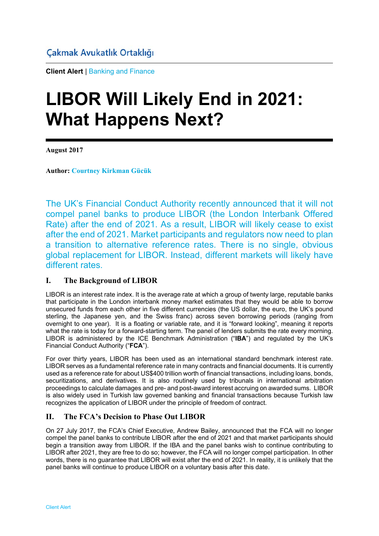**Client Alert** | Banking and Finance

# **LIBOR Will Likely End in 2021: What Happens Next?**

**August 2017** 

**Author: Courtney Kirkman Gücük**

The UK's Financial Conduct Authority recently announced that it will not compel panel banks to produce LIBOR (the London Interbank Offered Rate) after the end of 2021. As a result, LIBOR will likely cease to exist after the end of 2021. Market participants and regulators now need to plan a transition to alternative reference rates. There is no single, obvious global replacement for LIBOR. Instead, different markets will likely have different rates.

# **I. The Background of LIBOR**

LIBOR is an interest rate index. It is the average rate at which a group of twenty large, reputable banks that participate in the London interbank money market estimates that they would be able to borrow unsecured funds from each other in five different currencies (the US dollar, the euro, the UK's pound sterling, the Japanese yen, and the Swiss franc) across seven borrowing periods (ranging from overnight to one year). It is a floating or variable rate, and it is "forward looking", meaning it reports what the rate is today for a forward-starting term. The panel of lenders submits the rate every morning. LIBOR is administered by the ICE Benchmark Administration ("**IBA**") and regulated by the UK's Financial Conduct Authority ("**FCA**").

For over thirty years, LIBOR has been used as an international standard benchmark interest rate. LIBOR serves as a fundamental reference rate in many contracts and financial documents. It is currently used as a reference rate for about US\$400 trillion worth of financial transactions, including loans, bonds, securitizations, and derivatives. It is also routinely used by tribunals in international arbitration proceedings to calculate damages and pre- and post-award interest accruing on awarded sums. LIBOR is also widely used in Turkish law governed banking and financial transactions because Turkish law recognizes the application of LIBOR under the principle of freedom of contract.

# **II. The FCA's Decision to Phase Out LIBOR**

On 27 July 2017, the FCA's Chief Executive, Andrew Bailey, announced that the FCA will no longer compel the panel banks to contribute LIBOR after the end of 2021 and that market participants should begin a transition away from LIBOR. If the IBA and the panel banks wish to continue contributing to LIBOR after 2021, they are free to do so; however, the FCA will no longer compel participation. In other words, there is no guarantee that LIBOR will exist after the end of 2021. In reality, it is unlikely that the panel banks will continue to produce LIBOR on a voluntary basis after this date.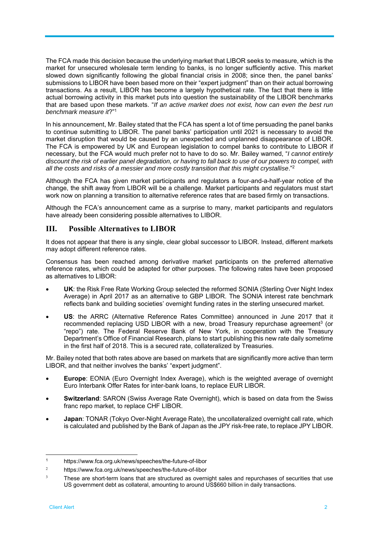The FCA made this decision because the underlying market that LIBOR seeks to measure, which is the market for unsecured wholesale term lending to banks, is no longer sufficiently active. This market slowed down significantly following the global financial crisis in 2008; since then, the panel banks' submissions to LIBOR have been based more on their "expert judgment" than on their actual borrowing transactions. As a result, LIBOR has become a largely hypothetical rate. The fact that there is little actual borrowing activity in this market puts into question the sustainability of the LIBOR benchmarks that are based upon these markets. "*If an active market does not exist, how can even the best run benchmark measure it*?"1

In his announcement, Mr. Bailey stated that the FCA has spent a lot of time persuading the panel banks to continue submitting to LIBOR. The panel banks' participation until 2021 is necessary to avoid the market disruption that would be caused by an unexpected and unplanned disappearance of LIBOR. The FCA is empowered by UK and European legislation to compel banks to contribute to LIBOR if necessary, but the FCA would much prefer not to have to do so. Mr. Bailey warned, "*I cannot entirely discount the risk of earlier panel degradation, or having to fall back to use of our powers to compel, with all the costs and risks of a messier and more costly transition that this might crystallise*."2

Although the FCA has given market participants and regulators a four-and-a-half-year notice of the change, the shift away from LIBOR will be a challenge. Market participants and regulators must start work now on planning a transition to alternative reference rates that are based firmly on transactions.

Although the FCA's announcement came as a surprise to many, market participants and regulators have already been considering possible alternatives to LIBOR.

### **III. Possible Alternatives to LIBOR**

It does not appear that there is any single, clear global successor to LIBOR. Instead, different markets may adopt different reference rates.

Consensus has been reached among derivative market participants on the preferred alternative reference rates, which could be adapted for other purposes. The following rates have been proposed as alternatives to LIBOR:

- **UK**: the Risk Free Rate Working Group selected the reformed SONIA (Sterling Over Night Index Average) in April 2017 as an alternative to GBP LIBOR. The SONIA interest rate benchmark reflects bank and building societies' overnight funding rates in the sterling unsecured market.
- **US**: the ARRC (Alternative Reference Rates Committee) announced in June 2017 that it recommended replacing USD LIBOR with a new, broad Treasury repurchase agreement<sup>3</sup> (or "repo") rate. The Federal Reserve Bank of New York, in cooperation with the Treasury Department's Office of Financial Research, plans to start publishing this new rate daily sometime in the first half of 2018. This is a secured rate, collateralized by Treasuries.

Mr. Bailey noted that both rates above are based on markets that are significantly more active than term LIBOR, and that neither involves the banks' "expert judgment".

- **Europe**: EONIA (Euro Overnight Index Average), which is the weighted average of overnight Euro Interbank Offer Rates for inter-bank loans, to replace EUR LIBOR.
- **Switzerland**: SARON (Swiss Average Rate Overnight), which is based on data from the Swiss franc repo market, to replace CHF LIBOR.
- **Japan**: TONAR (Tokyo Over-Night Average Rate), the uncollateralized overnight call rate, which is calculated and published by the Bank of Japan as the JPY risk-free rate, to replace JPY LIBOR.

-

<sup>1</sup> https://www.fca.org.uk/news/speeches/the-future-of-libor

<sup>2</sup> https://www.fca.org.uk/news/speeches/the-future-of-libor

<sup>&</sup>lt;sup>3</sup> These are short-term loans that are structured as overnight sales and repurchases of securities that use US government debt as collateral, amounting to around US\$660 billion in daily transactions.